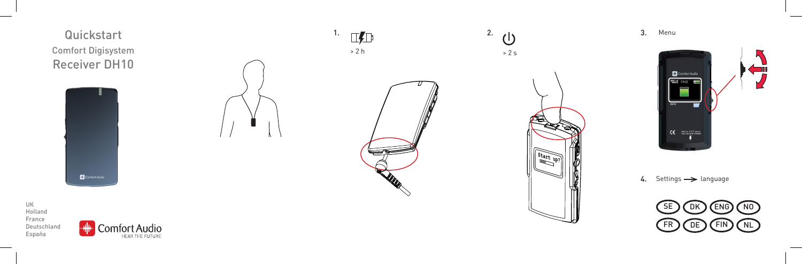